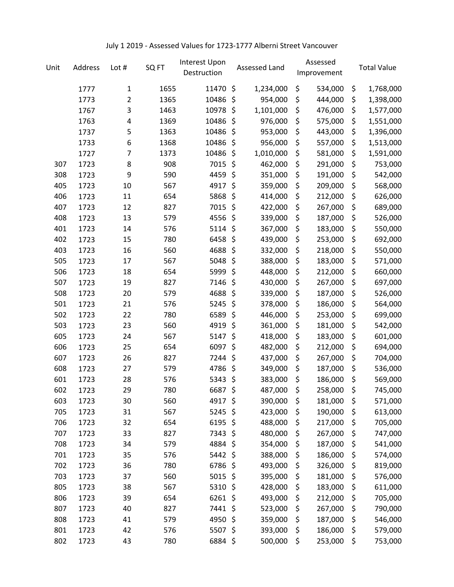## July 1 2019 - Assessed Values for 1723-1777 Alberni Street Vancouver

| Unit | Address | Lot #          | SQ FT | Interest Upon<br>Destruction |         | Assessed Land |                    | Assessed<br>Improvement |                    | <b>Total Value</b> |
|------|---------|----------------|-------|------------------------------|---------|---------------|--------------------|-------------------------|--------------------|--------------------|
|      | 1777    | 1              | 1655  | 11470                        | \$      | 1,234,000     | \$                 | 534,000                 | \$                 | 1,768,000          |
|      | 1773    | 2              | 1365  | 10486                        | \$      | 954,000       | \$                 | 444,000                 | \$                 | 1,398,000          |
|      | 1767    | 3              | 1463  | 10978                        | \$      | 1,101,000     | \$                 | 476,000                 | \$                 | 1,577,000          |
|      | 1763    | $\pmb{4}$      | 1369  | 10486                        | \$      | 976,000       | \$                 | 575,000                 | \$                 | 1,551,000          |
|      | 1737    | 5              | 1363  | 10486                        | \$      | 953,000       | \$                 | 443,000                 | \$                 | 1,396,000          |
|      | 1733    | 6              | 1368  | 10486                        | \$      | 956,000       | \$                 | 557,000                 | \$                 | 1,513,000          |
|      | 1727    | $\overline{7}$ | 1373  | 10486                        | \$      | 1,010,000     | \$                 | 581,000                 | \$                 | 1,591,000          |
| 307  | 1723    | 8              | 908   | 7015                         | \$      | 462,000       | \$                 | 291,000                 | \$                 | 753,000            |
| 308  | 1723    | 9              | 590   | 4459                         | \$      | 351,000       | \$                 | 191,000                 | \$                 | 542,000            |
| 405  | 1723    | 10             | 567   | 4917                         | \$      | 359,000       | \$                 | 209,000                 | \$                 | 568,000            |
| 406  | 1723    | 11             | 654   | 5868                         | \$      | 414,000       | \$                 | 212,000                 | \$                 | 626,000            |
| 407  | 1723    | 12             | 827   | 7015                         | \$      | 422,000       | \$                 | 267,000                 | \$                 | 689,000            |
| 408  | 1723    | 13             | 579   | 4556                         | $\zeta$ | 339,000       | \$                 | 187,000                 | \$                 | 526,000            |
| 401  | 1723    | 14             | 576   | 5114                         | \$      | 367,000       | \$                 | 183,000                 | \$                 | 550,000            |
| 402  | 1723    | 15             | 780   | 6458                         | \$      | 439,000       | \$                 | 253,000                 | \$                 | 692,000            |
| 403  | 1723    | 16             | 560   | 4688                         | \$      | 332,000       | \$                 | 218,000                 | \$                 | 550,000            |
| 505  | 1723    | 17             | 567   | 5048                         | \$      | 388,000       | \$                 | 183,000                 | \$                 | 571,000            |
| 506  | 1723    | 18             | 654   | 5999                         | \$      | 448,000       | \$                 | 212,000                 | \$                 | 660,000            |
| 507  | 1723    | 19             | 827   | 7146                         | \$      | 430,000       | \$                 | 267,000                 | \$                 | 697,000            |
| 508  | 1723    | 20             | 579   | 4688                         | \$      | 339,000       | \$                 | 187,000                 | \$                 | 526,000            |
| 501  | 1723    | 21             | 576   | 5245                         | \$      | 378,000       | \$                 | 186,000                 | \$                 | 564,000            |
| 502  | 1723    | 22             | 780   | 6589                         | \$      | 446,000       | \$                 | 253,000                 | \$                 | 699,000            |
| 503  | 1723    | 23             | 560   | 4919                         | \$      | 361,000       | \$                 | 181,000                 | \$                 | 542,000            |
| 605  | 1723    | 24             | 567   | 5147                         | \$      | 418,000       | \$                 | 183,000                 | \$                 | 601,000            |
| 606  | 1723    | 25             | 654   | 6097                         | \$      | 482,000       | \$                 | 212,000                 | \$                 | 694,000            |
| 607  | 1723    | 26             | 827   | 7244                         | \$      | 437,000       | \$                 | 267,000                 | \$                 | 704,000            |
| 608  | 1723    | 27             | 579   | 4786                         | \$      | 349,000       | \$                 | 187,000                 | \$                 | 536,000            |
| 601  | 1723    | 28             | 576   | 5343                         | \$      | 383,000       | \$                 | 186,000                 | \$                 | 569,000            |
| 602  | 1723    | 29             | 780   | 6687                         | \$      | 487,000       | \$                 | 258,000                 | \$                 | 745,000            |
| 603  | 1723    | 30             | 560   | 4917 \$                      |         | 390,000       | \$                 | 181,000                 | \$                 | 571,000            |
| 705  | 1723    | 31             | 567   | 5245 \$                      |         | 423,000       | \$                 | 190,000                 | \$                 | 613,000            |
| 706  | 1723    | 32             | 654   | $6195$ \$                    |         | 488,000       | \$                 | 217,000                 | \$                 | 705,000            |
| 707  | 1723    | 33             | 827   | 7343 \$                      |         | 480,000       | \$                 | 267,000                 | \$                 | 747,000            |
| 708  | 1723    | 34             | 579   | 4884 \$                      |         | 354,000       | \$                 | 187,000                 | \$                 | 541,000            |
| 701  | 1723    | 35             | 576   | 5442 \$                      |         | 388,000       | \$                 | 186,000                 | \$                 | 574,000            |
| 702  | 1723    | 36             | 780   | 6786 \$                      |         | 493,000       | \$                 | 326,000                 | \$                 | 819,000            |
| 703  | 1723    | 37             | 560   | 5015 \$                      |         | 395,000       | \$                 | 181,000                 | \$                 | 576,000            |
| 805  | 1723    | 38             | 567   | 5310 \$                      |         | 428,000       | \$                 | 183,000                 | \$                 | 611,000            |
| 806  | 1723    | 39             | 654   | $6261$ \$                    |         | 493,000       | \$                 | 212,000                 | \$                 | 705,000            |
| 807  | 1723    | 40             | 827   | 7441 \$                      |         | 523,000       | \$                 | 267,000                 | \$                 | 790,000            |
| 808  | 1723    | 41             | 579   | 4950 \$                      |         | 359,000       | \$                 | 187,000                 | \$                 | 546,000            |
| 801  | 1723    | 42             | 576   | 5507\$                       |         | 393,000       | \$                 | 186,000                 | \$                 | 579,000            |
| 802  | 1723    | 43             | 780   | 6884 \$                      |         | 500,000       | $\ddot{\varsigma}$ | 253,000                 | $\ddot{\varsigma}$ | 753,000            |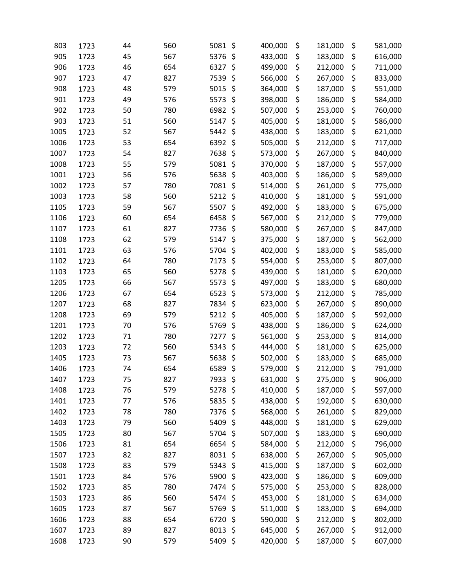| 803  | 1723 | 44 | 560 | \$<br>5081      | 400,000 | \$<br>181,000 | \$<br>581,000 |
|------|------|----|-----|-----------------|---------|---------------|---------------|
| 905  | 1723 | 45 | 567 | 5376<br>\$      | 433,000 | \$<br>183,000 | \$<br>616,000 |
| 906  | 1723 | 46 | 654 | \$<br>6327      | 499,000 | \$<br>212,000 | \$<br>711,000 |
| 907  | 1723 | 47 | 827 | \$<br>7539      | 566,000 | \$<br>267,000 | \$<br>833,000 |
| 908  | 1723 | 48 | 579 | \$<br>5015      | 364,000 | \$<br>187,000 | \$<br>551,000 |
| 901  | 1723 | 49 | 576 | \$<br>5573      | 398,000 | \$<br>186,000 | \$<br>584,000 |
| 902  | 1723 | 50 | 780 | 6982<br>\$      | 507,000 | \$<br>253,000 | \$<br>760,000 |
| 903  | 1723 | 51 | 560 | \$<br>5147      | 405,000 | \$<br>181,000 | \$<br>586,000 |
| 1005 | 1723 | 52 | 567 | \$<br>5442      | 438,000 | \$<br>183,000 | \$<br>621,000 |
| 1006 | 1723 | 53 | 654 | \$<br>6392      | 505,000 | \$<br>212,000 | \$<br>717,000 |
| 1007 | 1723 | 54 | 827 | \$<br>7638      | 573,000 | \$<br>267,000 | \$<br>840,000 |
| 1008 | 1723 | 55 | 579 | \$<br>5081      | 370,000 | \$<br>187,000 | \$<br>557,000 |
| 1001 | 1723 | 56 | 576 | \$<br>5638      | 403,000 | \$<br>186,000 | \$<br>589,000 |
| 1002 | 1723 | 57 | 780 | 7081<br>\$      | 514,000 | \$<br>261,000 | \$<br>775,000 |
| 1003 | 1723 | 58 | 560 | \$<br>5212      | 410,000 | \$<br>181,000 | \$<br>591,000 |
| 1105 | 1723 | 59 | 567 | \$<br>5507      | 492,000 | \$<br>183,000 | \$<br>675,000 |
| 1106 | 1723 | 60 | 654 | \$<br>6458      | 567,000 | \$<br>212,000 | \$<br>779,000 |
| 1107 | 1723 | 61 | 827 | \$<br>7736      | 580,000 | \$<br>267,000 | \$<br>847,000 |
| 1108 | 1723 | 62 | 579 | \$<br>5147      | 375,000 | \$<br>187,000 | \$<br>562,000 |
| 1101 | 1723 | 63 | 576 | 5704<br>\$      | 402,000 | \$<br>183,000 | \$<br>585,000 |
| 1102 | 1723 | 64 | 780 | \$<br>7173      | 554,000 | \$<br>253,000 | \$<br>807,000 |
| 1103 | 1723 | 65 | 560 | \$<br>5278      | 439,000 | \$<br>181,000 | \$<br>620,000 |
| 1205 | 1723 | 66 | 567 | \$<br>5573      | 497,000 | \$<br>183,000 | \$<br>680,000 |
| 1206 | 1723 | 67 | 654 | \$<br>6523      | 573,000 | \$<br>212,000 | \$<br>785,000 |
| 1207 | 1723 | 68 | 827 | \$<br>7834      | 623,000 | \$<br>267,000 | \$<br>890,000 |
| 1208 | 1723 | 69 | 579 | 5212<br>\$      | 405,000 | \$<br>187,000 | \$<br>592,000 |
| 1201 | 1723 | 70 | 576 | \$<br>5769      | 438,000 | \$<br>186,000 | \$<br>624,000 |
| 1202 | 1723 | 71 | 780 | \$<br>7277      | 561,000 | \$<br>253,000 | \$<br>814,000 |
| 1203 | 1723 | 72 | 560 | \$<br>5343      | 444,000 | \$<br>181,000 | \$<br>625,000 |
| 1405 | 1723 | 73 | 567 | \$<br>5638      | 502,000 | \$<br>183,000 | \$<br>685,000 |
| 1406 | 1723 | 74 | 654 | \$<br>6589      | 579,000 | \$<br>212,000 | \$<br>791,000 |
| 1407 | 1723 | 75 | 827 | 7933<br>\$      | 631,000 | \$<br>275,000 | \$<br>906,000 |
| 1408 | 1723 | 76 | 579 | 5278<br>\$      | 410,000 | \$<br>187,000 | \$<br>597,000 |
| 1401 | 1723 | 77 | 576 | \$<br>5835      | 438,000 | \$<br>192,000 | \$<br>630,000 |
| 1402 | 1723 | 78 | 780 | \$<br>7376      | 568,000 | \$<br>261,000 | \$<br>829,000 |
| 1403 | 1723 | 79 | 560 | 5409<br>\$      | 448,000 | \$<br>181,000 | \$<br>629,000 |
| 1505 | 1723 | 80 | 567 | 5704<br>\$      | 507,000 | \$<br>183,000 | \$<br>690,000 |
| 1506 | 1723 | 81 | 654 | 6654<br>\$      | 584,000 | \$<br>212,000 | \$<br>796,000 |
| 1507 | 1723 | 82 | 827 | 8031<br>\$      | 638,000 | \$<br>267,000 | \$<br>905,000 |
| 1508 | 1723 | 83 | 579 | 5343<br>\$      | 415,000 | \$<br>187,000 | \$<br>602,000 |
| 1501 | 1723 | 84 | 576 | \$<br>5900      | 423,000 | \$<br>186,000 | \$<br>609,000 |
| 1502 | 1723 | 85 | 780 | $\zeta$<br>7474 | 575,000 | \$<br>253,000 | \$<br>828,000 |
| 1503 | 1723 | 86 | 560 | \$<br>5474      | 453,000 | \$<br>181,000 | \$<br>634,000 |
| 1605 | 1723 | 87 | 567 | \$<br>5769      | 511,000 | \$<br>183,000 | \$<br>694,000 |
| 1606 | 1723 | 88 | 654 | 6720<br>\$      | 590,000 | \$<br>212,000 | \$<br>802,000 |
| 1607 | 1723 | 89 | 827 | 8013<br>\$      | 645,000 | \$<br>267,000 | \$<br>912,000 |
| 1608 | 1723 | 90 | 579 | 5409 \$         | 420,000 | \$<br>187,000 | \$<br>607,000 |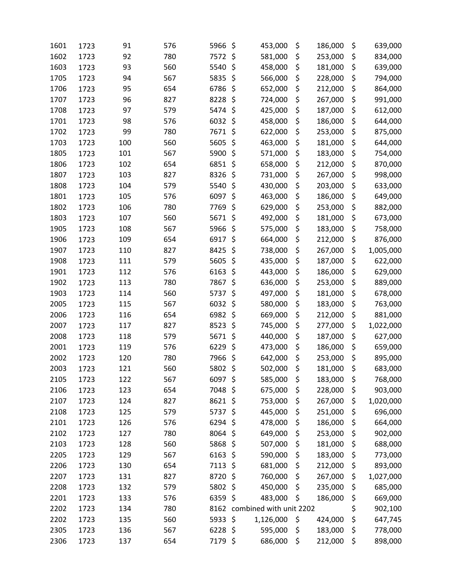| 1601 | 1723 | 91  | 576 | 5966      | \$<br>453,000           | \$<br>186,000 | \$<br>639,000   |
|------|------|-----|-----|-----------|-------------------------|---------------|-----------------|
| 1602 | 1723 | 92  | 780 | 7572      | \$<br>581,000           | \$<br>253,000 | \$<br>834,000   |
| 1603 | 1723 | 93  | 560 | 5540      | \$<br>458,000           | \$<br>181,000 | \$<br>639,000   |
| 1705 | 1723 | 94  | 567 | 5835      | \$<br>566,000           | \$<br>228,000 | \$<br>794,000   |
| 1706 | 1723 | 95  | 654 | 6786      | \$<br>652,000           | \$<br>212,000 | \$<br>864,000   |
| 1707 | 1723 | 96  | 827 | 8228      | \$<br>724,000           | \$<br>267,000 | \$<br>991,000   |
| 1708 | 1723 | 97  | 579 | 5474      | \$<br>425,000           | \$<br>187,000 | \$<br>612,000   |
| 1701 | 1723 | 98  | 576 | 6032      | \$<br>458,000           | \$<br>186,000 | \$<br>644,000   |
| 1702 | 1723 | 99  | 780 | 7671      | \$<br>622,000           | \$<br>253,000 | \$<br>875,000   |
| 1703 | 1723 | 100 | 560 | 5605      | \$<br>463,000           | \$<br>181,000 | \$<br>644,000   |
| 1805 | 1723 | 101 | 567 | 5900      | \$<br>571,000           | \$<br>183,000 | \$<br>754,000   |
| 1806 | 1723 | 102 | 654 | 6851      | \$<br>658,000           | \$<br>212,000 | \$<br>870,000   |
| 1807 | 1723 | 103 | 827 | 8326      | \$<br>731,000           | \$<br>267,000 | \$<br>998,000   |
| 1808 | 1723 | 104 | 579 | 5540      | \$<br>430,000           | \$<br>203,000 | \$<br>633,000   |
| 1801 | 1723 | 105 | 576 | 6097      | \$<br>463,000           | \$<br>186,000 | \$<br>649,000   |
| 1802 | 1723 | 106 | 780 | 7769      | \$<br>629,000           | \$<br>253,000 | \$<br>882,000   |
| 1803 | 1723 | 107 | 560 | 5671      | \$<br>492,000           | \$<br>181,000 | \$<br>673,000   |
| 1905 | 1723 | 108 | 567 | 5966      | \$<br>575,000           | \$<br>183,000 | \$<br>758,000   |
| 1906 | 1723 | 109 | 654 | 6917      | \$<br>664,000           | \$<br>212,000 | \$<br>876,000   |
| 1907 | 1723 | 110 | 827 | 8425      | \$<br>738,000           | \$<br>267,000 | \$<br>1,005,000 |
| 1908 | 1723 | 111 | 579 | 5605      | \$<br>435,000           | \$<br>187,000 | \$<br>622,000   |
| 1901 | 1723 | 112 | 576 | 6163      | \$<br>443,000           | \$<br>186,000 | \$<br>629,000   |
| 1902 | 1723 | 113 | 780 | 7867      | \$<br>636,000           | \$<br>253,000 | \$<br>889,000   |
| 1903 | 1723 | 114 | 560 | 5737      | \$<br>497,000           | \$<br>181,000 | \$<br>678,000   |
| 2005 | 1723 | 115 | 567 | 6032      | \$<br>580,000           | \$<br>183,000 | \$<br>763,000   |
| 2006 | 1723 | 116 | 654 | 6982      | \$<br>669,000           | \$<br>212,000 | \$<br>881,000   |
| 2007 | 1723 | 117 | 827 | 8523      | \$<br>745,000           | \$<br>277,000 | \$<br>1,022,000 |
| 2008 | 1723 | 118 | 579 | 5671      | \$<br>440,000           | \$<br>187,000 | \$<br>627,000   |
| 2001 | 1723 | 119 | 576 | 6229      | \$<br>473,000           | \$<br>186,000 | \$<br>659,000   |
| 2002 | 1723 | 120 | 780 | 7966      | \$<br>642,000           | \$<br>253,000 | \$<br>895,000   |
| 2003 | 1723 | 121 | 560 | 5802      | \$<br>502,000           | \$<br>181,000 | \$<br>683,000   |
| 2105 | 1723 | 122 | 567 | 6097      | \$<br>585,000           | \$<br>183,000 | \$<br>768,000   |
| 2106 | 1723 | 123 | 654 | 7048      | \$<br>675,000           | \$<br>228,000 | \$<br>903,000   |
| 2107 | 1723 | 124 | 827 | 8621      | \$<br>753,000           | \$<br>267,000 | \$<br>1,020,000 |
| 2108 | 1723 | 125 | 579 | 5737      | \$<br>445,000           | \$<br>251,000 | \$<br>696,000   |
| 2101 | 1723 | 126 | 576 | 6294      | \$<br>478,000           | \$<br>186,000 | \$<br>664,000   |
| 2102 | 1723 | 127 | 780 | 8064      | \$<br>649,000           | \$<br>253,000 | \$<br>902,000   |
| 2103 | 1723 | 128 | 560 | 5868      | \$<br>507,000           | \$<br>181,000 | \$<br>688,000   |
| 2205 | 1723 | 129 | 567 | 6163      | \$<br>590,000           | \$<br>183,000 | \$<br>773,000   |
| 2206 | 1723 | 130 | 654 | 7113 \$   | 681,000                 | \$<br>212,000 | \$<br>893,000   |
| 2207 | 1723 | 131 | 827 | 8720      | \$<br>760,000           | \$<br>267,000 | \$<br>1,027,000 |
| 2208 | 1723 | 132 | 579 | 5802      | \$<br>450,000           | \$<br>235,000 | \$<br>685,000   |
| 2201 | 1723 | 133 | 576 | 6359      | \$<br>483,000           | \$<br>186,000 | \$<br>669,000   |
| 2202 | 1723 | 134 | 780 | 8162      | combined with unit 2202 |               | \$<br>902,100   |
| 2202 | 1723 | 135 | 560 | 5933\$    | 1,126,000               | \$<br>424,000 | \$<br>647,745   |
| 2305 | 1723 | 136 | 567 | $6228$ \$ | 595,000                 | \$<br>183,000 | \$<br>778,000   |
| 2306 | 1723 | 137 | 654 | 7179 \$   | 686,000                 | \$<br>212,000 | \$<br>898,000   |